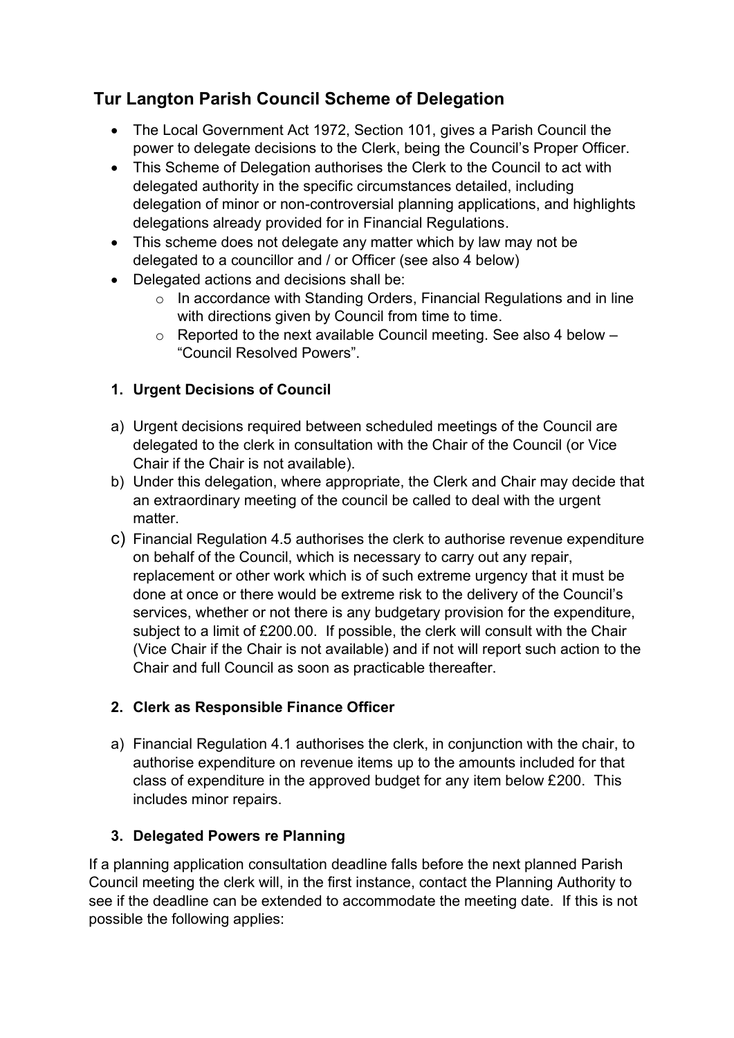# **Tur Langton Parish Council Scheme of Delegation**

- The Local Government Act 1972, Section 101, gives a Parish Council the power to delegate decisions to the Clerk, being the Council's Proper Officer.
- This Scheme of Delegation authorises the Clerk to the Council to act with delegated authority in the specific circumstances detailed, including delegation of minor or non-controversial planning applications, and highlights delegations already provided for in Financial Regulations.
- This scheme does not delegate any matter which by law may not be delegated to a councillor and / or Officer (see also 4 below)
- Delegated actions and decisions shall be:
	- o In accordance with Standing Orders, Financial Regulations and in line with directions given by Council from time to time.
	- $\circ$  Reported to the next available Council meeting. See also 4 below  $-$ "Council Resolved Powers".

# **1. Urgent Decisions of Council**

- a) Urgent decisions required between scheduled meetings of the Council are delegated to the clerk in consultation with the Chair of the Council (or Vice Chair if the Chair is not available).
- b) Under this delegation, where appropriate, the Clerk and Chair may decide that an extraordinary meeting of the council be called to deal with the urgent matter.
- c) Financial Regulation 4.5 authorises the clerk to authorise revenue expenditure on behalf of the Council, which is necessary to carry out any repair, replacement or other work which is of such extreme urgency that it must be done at once or there would be extreme risk to the delivery of the Council's services, whether or not there is any budgetary provision for the expenditure, subject to a limit of £200.00. If possible, the clerk will consult with the Chair (Vice Chair if the Chair is not available) and if not will report such action to the Chair and full Council as soon as practicable thereafter.

# **2. Clerk as Responsible Finance Officer**

a) Financial Regulation 4.1 authorises the clerk, in conjunction with the chair, to authorise expenditure on revenue items up to the amounts included for that class of expenditure in the approved budget for any item below £200. This includes minor repairs.

### **3. Delegated Powers re Planning**

If a planning application consultation deadline falls before the next planned Parish Council meeting the clerk will, in the first instance, contact the Planning Authority to see if the deadline can be extended to accommodate the meeting date. If this is not possible the following applies: